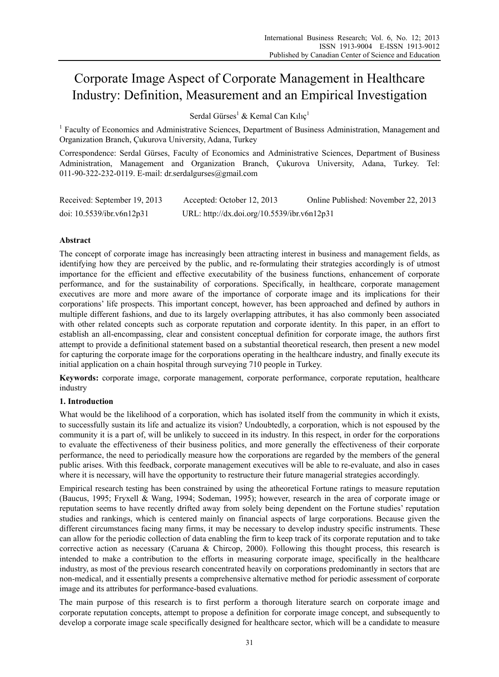# Corporate Image Aspect of Corporate Management in Healthcare Industry: Definition, Measurement and an Empirical Investigation

Serdal Gürses<sup>1</sup> & Kemal Can Kılıç<sup>1</sup>

<sup>1</sup> Faculty of Economics and Administrative Sciences, Department of Business Administration, Management and Organization Branch, Çukurova University, Adana, Turkey

Correspondence: Serdal Gürses, Faculty of Economics and Administrative Sciences, Department of Business Administration, Management and Organization Branch, Çukurova University, Adana, Turkey. Tel: 011-90-322-232-0119. E-mail: dr.serdalgurses@gmail.com

| Received: September 19, 2013 | Accepted: October 12, 2013                  | Online Published: November 22, 2013 |
|------------------------------|---------------------------------------------|-------------------------------------|
| doi: $10.5539$ /ibr.v6n12p31 | URL: http://dx.doi.org/10.5539/ibr.v6n12p31 |                                     |

# **Abstract**

The concept of corporate image has increasingly been attracting interest in business and management fields, as identifying how they are perceived by the public, and re-formulating their strategies accordingly is of utmost importance for the efficient and effective executability of the business functions, enhancement of corporate performance, and for the sustainability of corporations. Specifically, in healthcare, corporate management executives are more and more aware of the importance of corporate image and its implications for their corporations' life prospects. This important concept, however, has been approached and defined by authors in multiple different fashions, and due to its largely overlapping attributes, it has also commonly been associated with other related concepts such as corporate reputation and corporate identity. In this paper, in an effort to establish an all-encompassing, clear and consistent conceptual definition for corporate image, the authors first attempt to provide a definitional statement based on a substantial theoretical research, then present a new model for capturing the corporate image for the corporations operating in the healthcare industry, and finally execute its initial application on a chain hospital through surveying 710 people in Turkey.

Keywords: corporate image, corporate management, corporate performance, corporate reputation, healthcare industry

# **1. Introduction**

What would be the likelihood of a corporation, which has isolated itself from the community in which it exists, to successfully sustain its life and actualize its vision? Undoubtedly, a corporation, which is not espoused by the community it is a part of, will be unlikely to succeed in its industry. In this respect, in order for the corporations to evaluate the effectiveness of their business politics, and more generally the effectiveness of their corporate performance, the need to periodically measure how the corporations are regarded by the members of the general public arises. With this feedback, corporate management executives will be able to re-evaluate, and also in cases where it is necessary, will have the opportunity to restructure their future managerial strategies accordingly.

Empirical research testing has been constrained by using the atheoretical Fortune ratings to measure reputation (Baucus, 1995; Fryxell & Wang, 1994; Sodeman, 1995); however, research in the area of corporate image or reputation seems to have recently drifted away from solely being dependent on the Fortune studies' reputation studies and rankings, which is centered mainly on financial aspects of large corporations. Because given the different circumstances facing many firms, it may be necessary to develop industry specific instruments. These can allow for the periodic collection of data enabling the firm to keep track of its corporate reputation and to take corrective action as necessary (Caruana & Chircop, 2000). Following this thought process, this research is intended to make a contribution to the efforts in measuring corporate image, specifically in the healthcare industry, as most of the previous research concentrated heavily on corporations predominantly in sectors that are non-medical, and it essentially presents a comprehensive alternative method for periodic assessment of corporate image and its attributes for performance-based evaluations.

The main purpose of this research is to first perform a thorough literature search on corporate image and corporate reputation concepts, attempt to propose a definition for corporate image concept, and subsequently to develop a corporate image scale specifically designed for healthcare sector, which will be a candidate to measure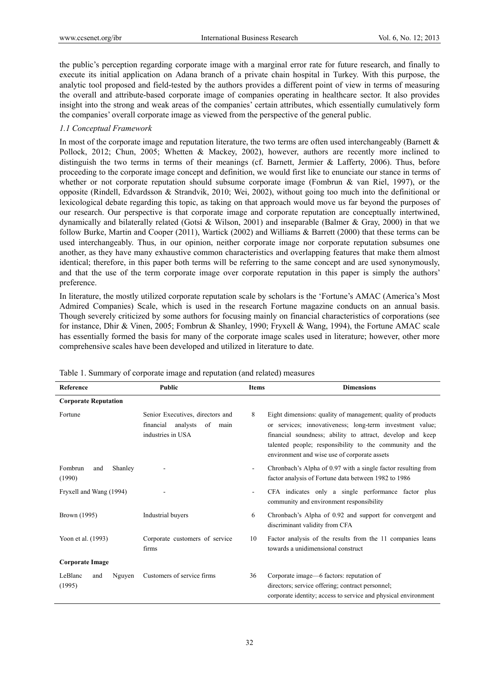the public's perception regarding corporate image with a marginal error rate for future research, and finally to execute its initial application on Adana branch of a private chain hospital in Turkey. With this purpose, the analytic tool proposed and field-tested by the authors provides a different point of view in terms of measuring the overall and attribute-based corporate image of companies operating in healthcare sector. It also provides insight into the strong and weak areas of the companies' certain attributes, which essentially cumulatively form the companies' overall corporate image as viewed from the perspective of the general public.

# *1.1 Conceptual Framework*

In most of the corporate image and reputation literature, the two terms are often used interchangeably (Barnett  $\&$ Pollock, 2012; Chun, 2005; Whetten & Mackey, 2002), however, authors are recently more inclined to distinguish the two terms in terms of their meanings (cf. Barnett, Jermier & Lafferty, 2006). Thus, before proceeding to the corporate image concept and definition, we would first like to enunciate our stance in terms of whether or not corporate reputation should subsume corporate image (Fombrun & van Riel, 1997), or the opposite (Rindell, Edvardsson & Strandvik, 2010; Wei, 2002), without going too much into the definitional or lexicological debate regarding this topic, as taking on that approach would move us far beyond the purposes of our research. Our perspective is that corporate image and corporate reputation are conceptually intertwined, dynamically and bilaterally related (Gotsi & Wilson, 2001) and inseparable (Balmer & Gray, 2000) in that we follow Burke, Martin and Cooper (2011), Wartick (2002) and Williams & Barrett (2000) that these terms can be used interchangeably. Thus, in our opinion, neither corporate image nor corporate reputation subsumes one another, as they have many exhaustive common characteristics and overlapping features that make them almost identical; therefore, in this paper both terms will be referring to the same concept and are used synonymously, and that the use of the term corporate image over corporate reputation in this paper is simply the authors' preference.

In literature, the mostly utilized corporate reputation scale by scholars is the 'Fortune's AMAC (America's Most Admired Companies) Scale, which is used in the research Fortune magazine conducts on an annual basis. Though severely criticized by some authors for focusing mainly on financial characteristics of corporations (see for instance, Dhir & Vinen, 2005; Fombrun & Shanley, 1990; Fryxell & Wang, 1994), the Fortune AMAC scale has essentially formed the basis for many of the corporate image scales used in literature; however, other more comprehensive scales have been developed and utilized in literature to date.

| Reference                           | <b>Public</b>                                                                             | <b>Items</b>             | <b>Dimensions</b>                                                                                                                                                                                                                                                                                 |
|-------------------------------------|-------------------------------------------------------------------------------------------|--------------------------|---------------------------------------------------------------------------------------------------------------------------------------------------------------------------------------------------------------------------------------------------------------------------------------------------|
| <b>Corporate Reputation</b>         |                                                                                           |                          |                                                                                                                                                                                                                                                                                                   |
| Fortune                             | Senior Executives, directors and<br>financial analysts<br>of<br>main<br>industries in USA | 8                        | Eight dimensions: quality of management; quality of products<br>or services; innovativeness; long-term investment value;<br>financial soundness; ability to attract, develop and keep<br>talented people; responsibility to the community and the<br>environment and wise use of corporate assets |
| Fombrun<br>Shanley<br>and<br>(1990) |                                                                                           |                          | Chronbach's Alpha of 0.97 with a single factor resulting from<br>factor analysis of Fortune data between 1982 to 1986                                                                                                                                                                             |
| Fryxell and Wang (1994)             |                                                                                           | $\overline{\phantom{a}}$ | CFA indicates only a single performance factor plus<br>community and environment responsibility                                                                                                                                                                                                   |
| Brown (1995)                        | Industrial buyers                                                                         | 6                        | Chronbach's Alpha of 0.92 and support for convergent and<br>discriminant validity from CFA                                                                                                                                                                                                        |
| Yoon et al. (1993)                  | Corporate customers of service<br>firms                                                   | 10                       | Factor analysis of the results from the 11 companies leans<br>towards a unidimensional construct                                                                                                                                                                                                  |
| <b>Corporate Image</b>              |                                                                                           |                          |                                                                                                                                                                                                                                                                                                   |
| LeBlanc<br>and<br>Nguyen<br>(1995)  | Customers of service firms                                                                | 36                       | Corporate image—6 factors: reputation of<br>directors; service offering; contract personnel;<br>corporate identity; access to service and physical environment                                                                                                                                    |

Table 1. Summary of corporate image and reputation (and related) measures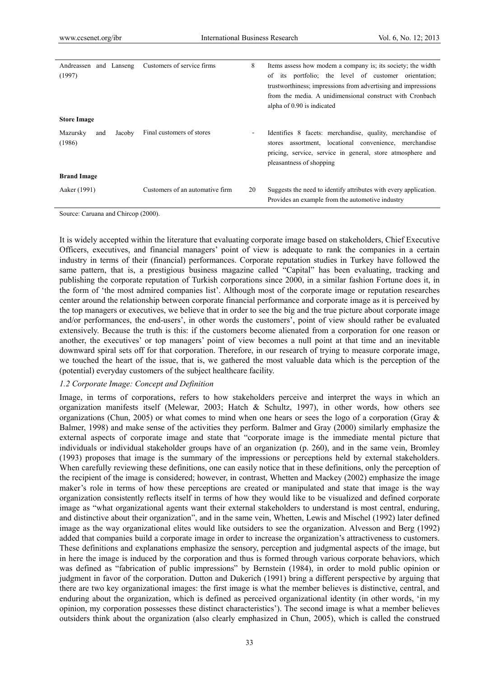| Andreassen<br>(1997)<br><b>Store Image</b> |     | and Lanseng | Customers of service firms      | 8                            | Items assess how modem a company is; its society; the width<br>of its portfolio; the level of customer orientation;<br>trustworthiness; impressions from advertising and impressions<br>from the media. A unidimensional construct with Cronbach<br>alpha of 0.90 is indicated |
|--------------------------------------------|-----|-------------|---------------------------------|------------------------------|--------------------------------------------------------------------------------------------------------------------------------------------------------------------------------------------------------------------------------------------------------------------------------|
| Mazursky<br>(1986)                         | and | Jacoby      | Final customers of stores       | $\qquad \qquad \blacksquare$ | Identifies 8 facets: merchandise, quality, merchandise of<br>assortment, locational convenience, merchandise<br>stores<br>pricing, service, service in general, store atmosphere and<br>pleasantness of shopping                                                               |
| <b>Brand Image</b>                         |     |             |                                 |                              |                                                                                                                                                                                                                                                                                |
| Aaker (1991)                               |     |             | Customers of an automative firm | 20                           | Suggests the need to identify attributes with every application.<br>Provides an example from the automotive industry                                                                                                                                                           |

Source: Caruana and Chircop (2000).

It is widely accepted within the literature that evaluating corporate image based on stakeholders, Chief Executive Officers, executives, and financial managers' point of view is adequate to rank the companies in a certain industry in terms of their (financial) performances. Corporate reputation studies in Turkey have followed the same pattern, that is, a prestigious business magazine called "Capital" has been evaluating, tracking and publishing the corporate reputation of Turkish corporations since 2000, in a similar fashion Fortune does it, in the form of 'the most admired companies list'. Although most of the corporate image or reputation researches center around the relationship between corporate financial performance and corporate image as it is perceived by the top managers or executives, we believe that in order to see the big and the true picture about corporate image and/or performances, the end-users', in other words the customers', point of view should rather be evaluated extensively. Because the truth is this: if the customers become alienated from a corporation for one reason or another, the executives' or top managers' point of view becomes a null point at that time and an inevitable downward spiral sets off for that corporation. Therefore, in our research of trying to measure corporate image, we touched the heart of the issue, that is, we gathered the most valuable data which is the perception of the (potential) everyday customers of the subject healthcare facility.

#### *1.2 Corporate Image: Concept and Definition*

Image, in terms of corporations, refers to how stakeholders perceive and interpret the ways in which an organization manifests itself (Melewar, 2003; Hatch & Schultz, 1997), in other words, how others see organizations (Chun, 2005) or what comes to mind when one hears or sees the logo of a corporation (Gray & Balmer, 1998) and make sense of the activities they perform. Balmer and Gray (2000) similarly emphasize the external aspects of corporate image and state that "corporate image is the immediate mental picture that individuals or individual stakeholder groups have of an organization (p. 260), and in the same vein, Bromley (1993) proposes that image is the summary of the impressions or perceptions held by external stakeholders. When carefully reviewing these definitions, one can easily notice that in these definitions, only the perception of the recipient of the image is considered; however, in contrast, Whetten and Mackey (2002) emphasize the image maker's role in terms of how these perceptions are created or manipulated and state that image is the way organization consistently reflects itself in terms of how they would like to be visualized and defined corporate image as "what organizational agents want their external stakeholders to understand is most central, enduring, and distinctive about their organization", and in the same vein, Whetten, Lewis and Mischel (1992) later defined image as the way organizational elites would like outsiders to see the organization. Alvesson and Berg (1992) added that companies build a corporate image in order to increase the organization's attractiveness to customers. These definitions and explanations emphasize the sensory, perception and judgmental aspects of the image, but in here the image is induced by the corporation and thus is formed through various corporate behaviors, which was defined as "fabrication of public impressions" by Bernstein (1984), in order to mold public opinion or judgment in favor of the corporation. Dutton and Dukerich (1991) bring a different perspective by arguing that there are two key organizational images: the first image is what the member believes is distinctive, central, and enduring about the organization, which is defined as perceived organizational identity (in other words, 'in my opinion, my corporation possesses these distinct characteristics'). The second image is what a member believes outsiders think about the organization (also clearly emphasized in Chun, 2005), which is called the construed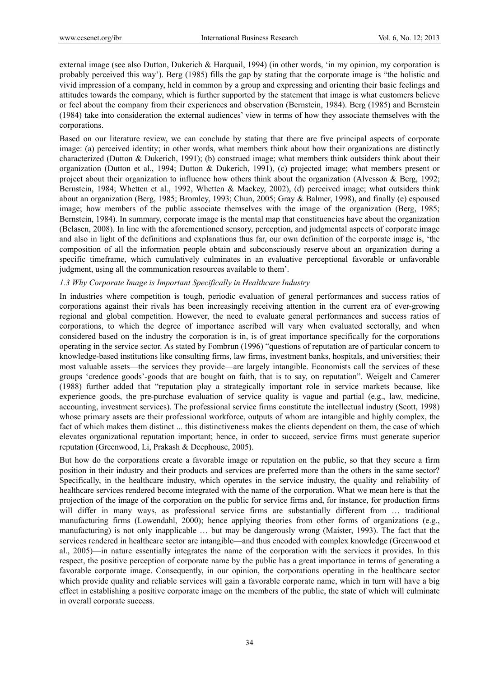external image (see also Dutton, Dukerich & Harquail, 1994) (in other words, 'in my opinion, my corporation is probably perceived this way'). Berg (1985) fills the gap by stating that the corporate image is "the holistic and vivid impression of a company, held in common by a group and expressing and orienting their basic feelings and attitudes towards the company, which is further supported by the statement that image is what customers believe or feel about the company from their experiences and observation (Bernstein, 1984). Berg (1985) and Bernstein (1984) take into consideration the external audiences' view in terms of how they associate themselves with the corporations.

Based on our literature review, we can conclude by stating that there are five principal aspects of corporate image: (a) perceived identity; in other words, what members think about how their organizations are distinctly characterized (Dutton & Dukerich, 1991); (b) construed image; what members think outsiders think about their organization (Dutton et al., 1994; Dutton & Dukerich, 1991), (c) projected image; what members present or project about their organization to influence how others think about the organization (Alvesson & Berg, 1992; Bernstein, 1984; Whetten et al., 1992, Whetten & Mackey, 2002), (d) perceived image; what outsiders think about an organization (Berg, 1985; Bromley, 1993; Chun, 2005; Gray & Balmer, 1998), and finally (e) espoused image; how members of the public associate themselves with the image of the organization (Berg, 1985; Bernstein, 1984). In summary, corporate image is the mental map that constituencies have about the organization (Belasen, 2008). In line with the aforementioned sensory, perception, and judgmental aspects of corporate image and also in light of the definitions and explanations thus far, our own definition of the corporate image is, 'the composition of all the information people obtain and subconsciously reserve about an organization during a specific timeframe, which cumulatively culminates in an evaluative perceptional favorable or unfavorable judgment, using all the communication resources available to them'.

# *1.3 Why Corporate Image is Important Specifically in Healthcare Industry*

In industries where competition is tough, periodic evaluation of general performances and success ratios of corporations against their rivals has been increasingly receiving attention in the current era of ever-growing regional and global competition. However, the need to evaluate general performances and success ratios of corporations, to which the degree of importance ascribed will vary when evaluated sectorally, and when considered based on the industry the corporation is in, is of great importance specifically for the corporations operating in the service sector. As stated by Fombrun (1996) "questions of reputation are of particular concern to knowledge-based institutions like consulting firms, law firms, investment banks, hospitals, and universities; their most valuable assets—the services they provide—are largely intangible. Economists call the services of these groups 'credence goods'-goods that are bought on faith, that is to say, on reputation". Weigelt and Camerer (1988) further added that "reputation play a strategically important role in service markets because, like experience goods, the pre-purchase evaluation of service quality is vague and partial (e.g., law, medicine, accounting, investment services). The professional service firms constitute the intellectual industry (Scott, 1998) whose primary assets are their professional workforce, outputs of whom are intangible and highly complex, the fact of which makes them distinct ... this distinctiveness makes the clients dependent on them, the case of which elevates organizational reputation important; hence, in order to succeed, service firms must generate superior reputation (Greenwood, Li, Prakash & Deephouse, 2005).

But how do the corporations create a favorable image or reputation on the public, so that they secure a firm position in their industry and their products and services are preferred more than the others in the same sector? Specifically, in the healthcare industry, which operates in the service industry, the quality and reliability of healthcare services rendered become integrated with the name of the corporation. What we mean here is that the projection of the image of the corporation on the public for service firms and, for instance, for production firms will differ in many ways, as professional service firms are substantially different from … traditional manufacturing firms (Lowendahl, 2000); hence applying theories from other forms of organizations (e.g., manufacturing) is not only inapplicable … but may be dangerously wrong (Maister, 1993). The fact that the services rendered in healthcare sector are intangible—and thus encoded with complex knowledge (Greenwood et al., 2005)—in nature essentially integrates the name of the corporation with the services it provides. In this respect, the positive perception of corporate name by the public has a great importance in terms of generating a favorable corporate image. Consequently, in our opinion, the corporations operating in the healthcare sector which provide quality and reliable services will gain a favorable corporate name, which in turn will have a big effect in establishing a positive corporate image on the members of the public, the state of which will culminate in overall corporate success.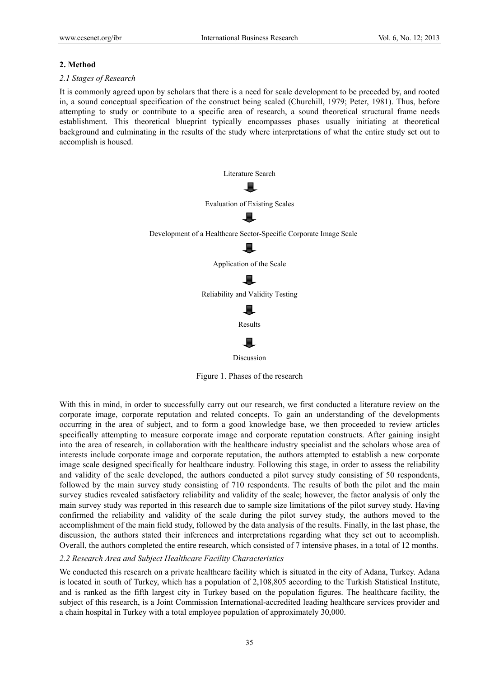### **2. Method**

#### *2.1 Stages of Research*

It is commonly agreed upon by scholars that there is a need for scale development to be preceded by, and rooted in, a sound conceptual specification of the construct being scaled (Churchill, 1979; Peter, 1981). Thus, before attempting to study or contribute to a specific area of research, a sound theoretical structural frame needs establishment. This theoretical blueprint typically encompasses phases usually initiating at theoretical background and culminating in the results of the study where interpretations of what the entire study set out to accomplish is housed.

> Literature Search ┸ Evaluation of Existing Scales Development of a Healthcare Sector-Specific Corporate Image Scale Application of the Scale ᆂ Reliability and Validity Testing п. Results н. Discussion Figure 1. Phases of the research

With this in mind, in order to successfully carry out our research, we first conducted a literature review on the corporate image, corporate reputation and related concepts. To gain an understanding of the developments occurring in the area of subject, and to form a good knowledge base, we then proceeded to review articles specifically attempting to measure corporate image and corporate reputation constructs. After gaining insight into the area of research, in collaboration with the healthcare industry specialist and the scholars whose area of interests include corporate image and corporate reputation, the authors attempted to establish a new corporate image scale designed specifically for healthcare industry. Following this stage, in order to assess the reliability and validity of the scale developed, the authors conducted a pilot survey study consisting of 50 respondents, followed by the main survey study consisting of 710 respondents. The results of both the pilot and the main survey studies revealed satisfactory reliability and validity of the scale; however, the factor analysis of only the main survey study was reported in this research due to sample size limitations of the pilot survey study. Having confirmed the reliability and validity of the scale during the pilot survey study, the authors moved to the accomplishment of the main field study, followed by the data analysis of the results. Finally, in the last phase, the discussion, the authors stated their inferences and interpretations regarding what they set out to accomplish. Overall, the authors completed the entire research, which consisted of 7 intensive phases, in a total of 12 months.

## *2.2 Research Area and Subject Healthcare Facility Characteristics*

We conducted this research on a private healthcare facility which is situated in the city of Adana, Turkey. Adana is located in south of Turkey, which has a population of 2,108,805 according to the Turkish Statistical Institute, and is ranked as the fifth largest city in Turkey based on the population figures. The healthcare facility, the subject of this research, is a Joint Commission International-accredited leading healthcare services provider and a chain hospital in Turkey with a total employee population of approximately 30,000.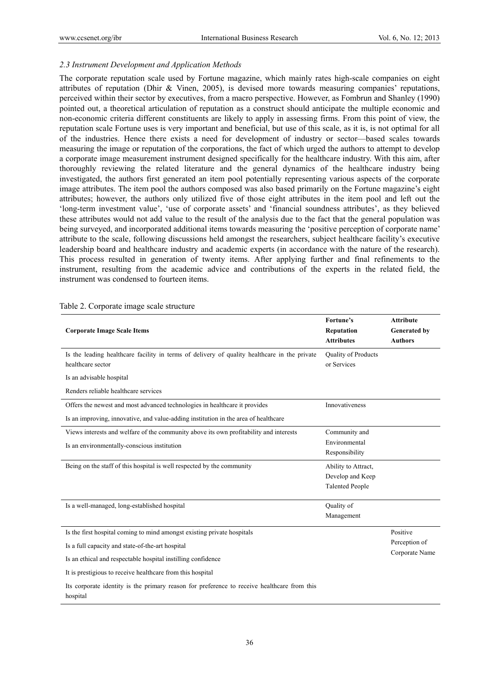# *2.3 Instrument Development and Application Methods*

The corporate reputation scale used by Fortune magazine, which mainly rates high-scale companies on eight attributes of reputation (Dhir & Vinen, 2005), is devised more towards measuring companies' reputations, perceived within their sector by executives, from a macro perspective. However, as Fombrun and Shanley (1990) pointed out, a theoretical articulation of reputation as a construct should anticipate the multiple economic and non-economic criteria different constituents are likely to apply in assessing firms. From this point of view, the reputation scale Fortune uses is very important and beneficial, but use of this scale, as it is, is not optimal for all of the industries. Hence there exists a need for development of industry or sector—based scales towards measuring the image or reputation of the corporations, the fact of which urged the authors to attempt to develop a corporate image measurement instrument designed specifically for the healthcare industry. With this aim, after thoroughly reviewing the related literature and the general dynamics of the healthcare industry being investigated, the authors first generated an item pool potentially representing various aspects of the corporate image attributes. The item pool the authors composed was also based primarily on the Fortune magazine's eight attributes; however, the authors only utilized five of those eight attributes in the item pool and left out the 'long-term investment value', 'use of corporate assets' and 'financial soundness attributes', as they believed these attributes would not add value to the result of the analysis due to the fact that the general population was being surveyed, and incorporated additional items towards measuring the 'positive perception of corporate name' attribute to the scale, following discussions held amongst the researchers, subject healthcare facility's executive leadership board and healthcare industry and academic experts (in accordance with the nature of the research). This process resulted in generation of twenty items. After applying further and final refinements to the instrument, resulting from the academic advice and contributions of the experts in the related field, the instrument was condensed to fourteen items.

| <b>Corporate Image Scale Items</b>                                                                                                    | Fortune's<br>Reputation<br><b>Attributes</b>                      | <b>Attribute</b><br><b>Generated by</b><br><b>Authors</b> |
|---------------------------------------------------------------------------------------------------------------------------------------|-------------------------------------------------------------------|-----------------------------------------------------------|
| Is the leading healthcare facility in terms of delivery of quality healthcare in the private<br>healthcare sector                     | Quality of Products<br>or Services                                |                                                           |
| Is an advisable hospital                                                                                                              |                                                                   |                                                           |
| Renders reliable healthcare services                                                                                                  |                                                                   |                                                           |
| Offers the newest and most advanced technologies in healthcare it provides                                                            | Innovativeness                                                    |                                                           |
| Is an improving, innovative, and value-adding institution in the area of healthcare                                                   |                                                                   |                                                           |
| Views interests and welfare of the community above its own profitability and interests<br>Is an environmentally-conscious institution | Community and<br>Environmental<br>Responsibility                  |                                                           |
| Being on the staff of this hospital is well respected by the community                                                                | Ability to Attract,<br>Develop and Keep<br><b>Talented People</b> |                                                           |
| Is a well-managed, long-established hospital                                                                                          | Quality of<br>Management                                          |                                                           |
| Is the first hospital coming to mind amongst existing private hospitals                                                               |                                                                   | Positive                                                  |
| Is a full capacity and state-of-the-art hospital                                                                                      |                                                                   | Perception of                                             |
| Is an ethical and respectable hospital instilling confidence                                                                          |                                                                   | Corporate Name                                            |
| It is prestigious to receive healthcare from this hospital                                                                            |                                                                   |                                                           |
| Its corporate identity is the primary reason for preference to receive healthcare from this<br>hospital                               |                                                                   |                                                           |

## Table 2. Corporate image scale structure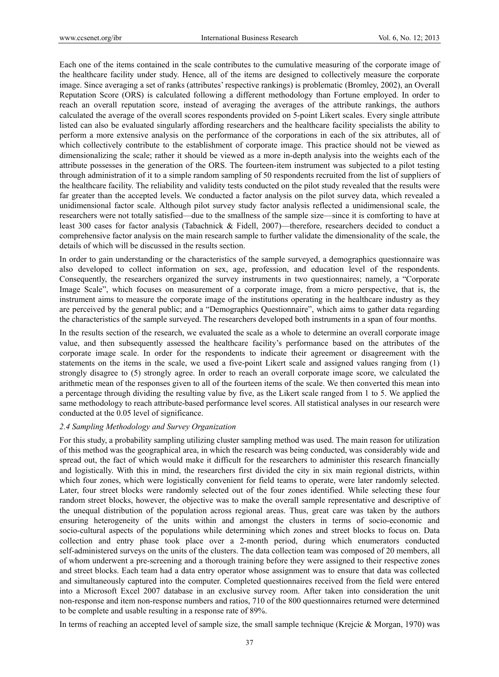Each one of the items contained in the scale contributes to the cumulative measuring of the corporate image of the healthcare facility under study. Hence, all of the items are designed to collectively measure the corporate image. Since averaging a set of ranks (attributes' respective rankings) is problematic (Bromley, 2002), an Overall Reputation Score (ORS) is calculated following a different methodology than Fortune employed. In order to reach an overall reputation score, instead of averaging the averages of the attribute rankings, the authors calculated the average of the overall scores respondents provided on 5-point Likert scales. Every single attribute listed can also be evaluated singularly affording researchers and the healthcare facility specialists the ability to perform a more extensive analysis on the performance of the corporations in each of the six attributes, all of which collectively contribute to the establishment of corporate image. This practice should not be viewed as dimensionalizing the scale; rather it should be viewed as a more in-depth analysis into the weights each of the attribute possesses in the generation of the ORS. The fourteen-item instrument was subjected to a pilot testing through administration of it to a simple random sampling of 50 respondents recruited from the list of suppliers of the healthcare facility. The reliability and validity tests conducted on the pilot study revealed that the results were far greater than the accepted levels. We conducted a factor analysis on the pilot survey data, which revealed a unidimensional factor scale. Although pilot survey study factor analysis reflected a unidimensional scale, the researchers were not totally satisfied—due to the smallness of the sample size—since it is comforting to have at least 300 cases for factor analysis (Tabachnick & Fidell, 2007)—therefore, researchers decided to conduct a comprehensive factor analysis on the main research sample to further validate the dimensionality of the scale, the details of which will be discussed in the results section.

In order to gain understanding or the characteristics of the sample surveyed, a demographics questionnaire was also developed to collect information on sex, age, profession, and education level of the respondents. Consequently, the researchers organized the survey instruments in two questionnaires; namely, a "Corporate Image Scale", which focuses on measurement of a corporate image, from a micro perspective, that is, the instrument aims to measure the corporate image of the institutions operating in the healthcare industry as they are perceived by the general public; and a "Demographics Questionnaire", which aims to gather data regarding the characteristics of the sample surveyed. The researchers developed both instruments in a span of four months.

In the results section of the research, we evaluated the scale as a whole to determine an overall corporate image value, and then subsequently assessed the healthcare facility's performance based on the attributes of the corporate image scale. In order for the respondents to indicate their agreement or disagreement with the statements on the items in the scale, we used a five-point Likert scale and assigned values ranging from (1) strongly disagree to (5) strongly agree. In order to reach an overall corporate image score, we calculated the arithmetic mean of the responses given to all of the fourteen items of the scale. We then converted this mean into a percentage through dividing the resulting value by five, as the Likert scale ranged from 1 to 5. We applied the same methodology to reach attribute-based performance level scores. All statistical analyses in our research were conducted at the 0.05 level of significance.

## *2.4 Sampling Methodology and Survey Organization*

For this study, a probability sampling utilizing cluster sampling method was used. The main reason for utilization of this method was the geographical area, in which the research was being conducted, was considerably wide and spread out, the fact of which would make it difficult for the researchers to administer this research financially and logistically. With this in mind, the researchers first divided the city in six main regional districts, within which four zones, which were logistically convenient for field teams to operate, were later randomly selected. Later, four street blocks were randomly selected out of the four zones identified. While selecting these four random street blocks, however, the objective was to make the overall sample representative and descriptive of the unequal distribution of the population across regional areas. Thus, great care was taken by the authors ensuring heterogeneity of the units within and amongst the clusters in terms of socio-economic and socio-cultural aspects of the populations while determining which zones and street blocks to focus on. Data collection and entry phase took place over a 2-month period, during which enumerators conducted self-administered surveys on the units of the clusters. The data collection team was composed of 20 members, all of whom underwent a pre-screening and a thorough training before they were assigned to their respective zones and street blocks. Each team had a data entry operator whose assignment was to ensure that data was collected and simultaneously captured into the computer. Completed questionnaires received from the field were entered into a Microsoft Excel 2007 database in an exclusive survey room. After taken into consideration the unit non-response and item non-response numbers and ratios, 710 of the 800 questionnaires returned were determined to be complete and usable resulting in a response rate of 89%.

In terms of reaching an accepted level of sample size, the small sample technique (Krejcie & Morgan, 1970) was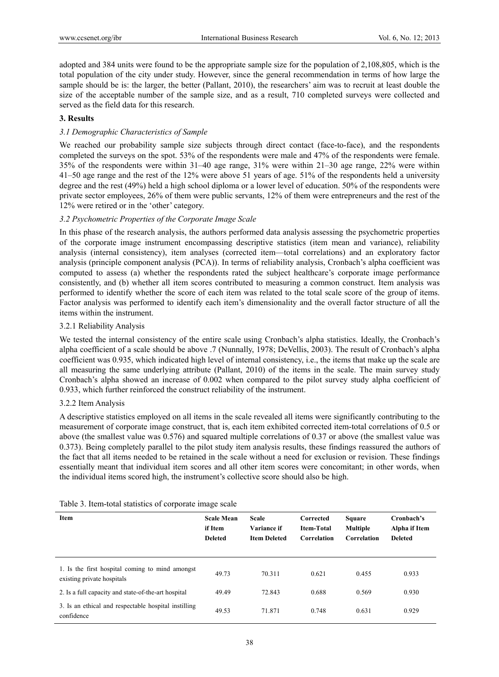adopted and 384 units were found to be the appropriate sample size for the population of 2,108,805, which is the total population of the city under study. However, since the general recommendation in terms of how large the sample should be is: the larger, the better (Pallant, 2010), the researchers' aim was to recruit at least double the size of the acceptable number of the sample size, and as a result, 710 completed surveys were collected and served as the field data for this research.

# **3. Results**

# *3.1 Demographic Characteristics of Sample*

We reached our probability sample size subjects through direct contact (face-to-face), and the respondents completed the surveys on the spot. 53% of the respondents were male and 47% of the respondents were female. 35% of the respondents were within 31–40 age range, 31% were within 21–30 age range, 22% were within 41–50 age range and the rest of the 12% were above 51 years of age. 51% of the respondents held a university degree and the rest (49%) held a high school diploma or a lower level of education. 50% of the respondents were private sector employees, 26% of them were public servants, 12% of them were entrepreneurs and the rest of the 12% were retired or in the 'other' category.

# *3.2 Psychometric Properties of the Corporate Image Scale*

In this phase of the research analysis, the authors performed data analysis assessing the psychometric properties of the corporate image instrument encompassing descriptive statistics (item mean and variance), reliability analysis (internal consistency), item analyses (corrected item—total correlations) and an exploratory factor analysis (principle component analysis (PCA)). In terms of reliability analysis, Cronbach's alpha coefficient was computed to assess (a) whether the respondents rated the subject healthcare's corporate image performance consistently, and (b) whether all item scores contributed to measuring a common construct. Item analysis was performed to identify whether the score of each item was related to the total scale score of the group of items. Factor analysis was performed to identify each item's dimensionality and the overall factor structure of all the items within the instrument.

## 3.2.1 Reliability Analysis

We tested the internal consistency of the entire scale using Cronbach's alpha statistics. Ideally, the Cronbach's alpha coefficient of a scale should be above .7 (Nunnally, 1978; DeVellis, 2003). The result of Cronbach's alpha coefficient was 0.935, which indicated high level of internal consistency, i.e., the items that make up the scale are all measuring the same underlying attribute (Pallant, 2010) of the items in the scale. The main survey study Cronbach's alpha showed an increase of 0.002 when compared to the pilot survey study alpha coefficient of 0.933, which further reinforced the construct reliability of the instrument.

## 3.2.2 Item Analysis

A descriptive statistics employed on all items in the scale revealed all items were significantly contributing to the measurement of corporate image construct, that is, each item exhibited corrected item-total correlations of 0.5 or above (the smallest value was 0.576) and squared multiple correlations of 0.37 or above (the smallest value was 0.373). Being completely parallel to the pilot study item analysis results, these findings reassured the authors of the fact that all items needed to be retained in the scale without a need for exclusion or revision. These findings essentially meant that individual item scores and all other item scores were concomitant; in other words, when the individual items scored high, the instrument's collective score should also be high.

| Item                                                                          | <b>Scale Mean</b><br>if Item<br><b>Deleted</b> | <b>Scale</b><br>Variance if<br><b>Item Deleted</b> | Corrected<br><b>Item-Total</b><br>Correlation | <b>Square</b><br><b>Multiple</b><br>Correlation | Cronbach's<br>Alpha if Item<br><b>Deleted</b> |
|-------------------------------------------------------------------------------|------------------------------------------------|----------------------------------------------------|-----------------------------------------------|-------------------------------------------------|-----------------------------------------------|
| 1. Is the first hospital coming to mind amongst<br>existing private hospitals | 49.73                                          | 70.311                                             | 0.621                                         | 0.455                                           | 0.933                                         |
| 2. Is a full capacity and state-of-the-art hospital                           | 49.49                                          | 72.843                                             | 0.688                                         | 0.569                                           | 0.930                                         |
| 3. Is an ethical and respectable hospital instilling<br>confidence            | 49.53                                          | 71.871                                             | 0.748                                         | 0.631                                           | 0.929                                         |

#### Table 3. Item-total statistics of corporate image scale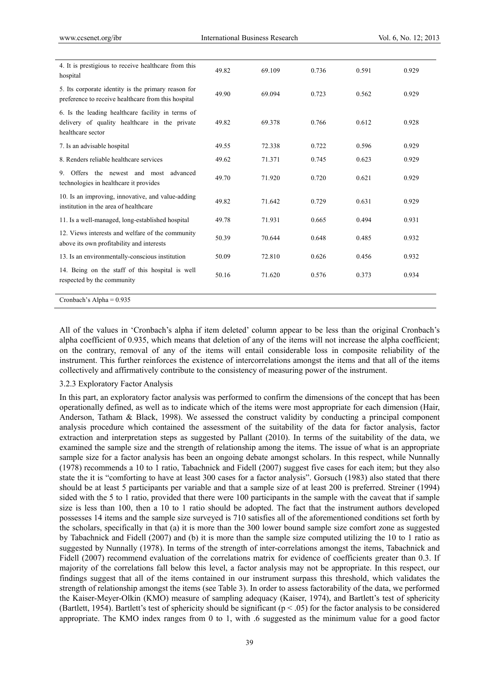| 4. It is prestigious to receive healthcare from this<br>hospital                                                        | 49.82 | 69.109 | 0.736 | 0.591 | 0.929 |
|-------------------------------------------------------------------------------------------------------------------------|-------|--------|-------|-------|-------|
| 5. Its corporate identity is the primary reason for<br>preference to receive healthcare from this hospital              | 49.90 | 69.094 | 0.723 | 0.562 | 0.929 |
| 6. Is the leading healthcare facility in terms of<br>delivery of quality healthcare in the private<br>healthcare sector | 49.82 | 69.378 | 0.766 | 0.612 | 0.928 |
| 7. Is an advisable hospital                                                                                             | 49.55 | 72.338 | 0.722 | 0.596 | 0.929 |
| 8. Renders reliable healthcare services                                                                                 | 49.62 | 71.371 | 0.745 | 0.623 | 0.929 |
| 9. Offers the newest and most advanced<br>technologies in healthcare it provides                                        | 49.70 | 71.920 | 0.720 | 0.621 | 0.929 |
| 10. Is an improving, innovative, and value-adding<br>institution in the area of healthcare                              | 49.82 | 71.642 | 0.729 | 0.631 | 0.929 |
| 11. Is a well-managed, long-established hospital                                                                        | 49.78 | 71.931 | 0.665 | 0.494 | 0.931 |
| 12. Views interests and welfare of the community<br>above its own profitability and interests                           | 50.39 | 70.644 | 0.648 | 0.485 | 0.932 |
| 13. Is an environmentally-conscious institution                                                                         | 50.09 | 72.810 | 0.626 | 0.456 | 0.932 |
| 14. Being on the staff of this hospital is well<br>respected by the community                                           | 50.16 | 71.620 | 0.576 | 0.373 | 0.934 |
| Cronbach's Alpha = $0.935$                                                                                              |       |        |       |       |       |

All of the values in 'Cronbach's alpha if item deleted' column appear to be less than the original Cronbach's alpha coefficient of 0.935, which means that deletion of any of the items will not increase the alpha coefficient; on the contrary, removal of any of the items will entail considerable loss in composite reliability of the instrument. This further reinforces the existence of intercorrelations amongst the items and that all of the items collectively and affirmatively contribute to the consistency of measuring power of the instrument.

#### 3.2.3 Exploratory Factor Analysis

In this part, an exploratory factor analysis was performed to confirm the dimensions of the concept that has been operationally defined, as well as to indicate which of the items were most appropriate for each dimension (Hair, Anderson, Tatham & Black, 1998). We assessed the construct validity by conducting a principal component analysis procedure which contained the assessment of the suitability of the data for factor analysis, factor extraction and interpretation steps as suggested by Pallant (2010). In terms of the suitability of the data, we examined the sample size and the strength of relationship among the items. The issue of what is an appropriate sample size for a factor analysis has been an ongoing debate amongst scholars. In this respect, while Nunnally (1978) recommends a 10 to 1 ratio, Tabachnick and Fidell (2007) suggest five cases for each item; but they also state the it is "comforting to have at least 300 cases for a factor analysis". Gorsuch (1983) also stated that there should be at least 5 participants per variable and that a sample size of at least 200 is preferred. Streiner (1994) sided with the 5 to 1 ratio, provided that there were 100 participants in the sample with the caveat that if sample size is less than 100, then a 10 to 1 ratio should be adopted. The fact that the instrument authors developed possesses 14 items and the sample size surveyed is 710 satisfies all of the aforementioned conditions set forth by the scholars, specifically in that (a) it is more than the 300 lower bound sample size comfort zone as suggested by Tabachnick and Fidell (2007) and (b) it is more than the sample size computed utilizing the 10 to 1 ratio as suggested by Nunnally (1978). In terms of the strength of inter-correlations amongst the items, Tabachnick and Fidell (2007) recommend evaluation of the correlations matrix for evidence of coefficients greater than 0.3. If majority of the correlations fall below this level, a factor analysis may not be appropriate. In this respect, our findings suggest that all of the items contained in our instrument surpass this threshold, which validates the strength of relationship amongst the items (see Table 3). In order to assess factorability of the data, we performed the Kaiser-Meyer-Olkin (KMO) measure of sampling adequacy (Kaiser, 1974), and Bartlett's test of sphericity (Bartlett, 1954). Bartlett's test of sphericity should be significant ( $p < .05$ ) for the factor analysis to be considered appropriate. The KMO index ranges from 0 to 1, with .6 suggested as the minimum value for a good factor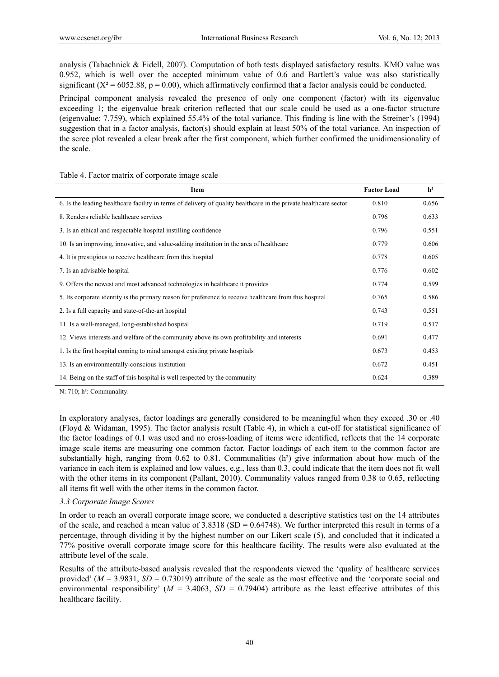analysis (Tabachnick & Fidell, 2007). Computation of both tests displayed satisfactory results. KMO value was 0.952, which is well over the accepted minimum value of 0.6 and Bartlett's value was also statistically significant ( $X^2 = 6052.88$ ,  $p = 0.00$ ), which affirmatively confirmed that a factor analysis could be conducted.

Principal component analysis revealed the presence of only one component (factor) with its eigenvalue exceeding 1; the eigenvalue break criterion reflected that our scale could be used as a one-factor structure (eigenvalue: 7.759), which explained 55.4% of the total variance. This finding is line with the Streiner's (1994) suggestion that in a factor analysis, factor(s) should explain at least 50% of the total variance. An inspection of the scree plot revealed a clear break after the first component, which further confirmed the unidimensionality of the scale.

Table 4. Factor matrix of corporate image scale

| Item                                                                                                              | <b>Factor Load</b> | h <sup>2</sup> |
|-------------------------------------------------------------------------------------------------------------------|--------------------|----------------|
| 6. Is the leading healthcare facility in terms of delivery of quality healthcare in the private healthcare sector | 0.810              | 0.656          |
| 8. Renders reliable healthcare services                                                                           | 0.796              | 0.633          |
| 3. Is an ethical and respectable hospital instilling confidence                                                   | 0.796              | 0.551          |
| 10. Is an improving, innovative, and value-adding institution in the area of healthcare                           | 0.779              | 0.606          |
| 4. It is prestigious to receive healthcare from this hospital                                                     | 0.778              | 0.605          |
| 7. Is an advisable hospital                                                                                       | 0.776              | 0.602          |
| 9. Offers the newest and most advanced technologies in healthcare it provides                                     | 0.774              | 0.599          |
| 5. Its corporate identity is the primary reason for preference to receive healthcare from this hospital           | 0.765              | 0.586          |
| 2. Is a full capacity and state-of-the-art hospital                                                               | 0.743              | 0.551          |
| 11. Is a well-managed, long-established hospital                                                                  | 0.719              | 0.517          |
| 12. Views interests and welfare of the community above its own profitability and interests                        | 0.691              | 0.477          |
| 1. Is the first hospital coming to mind amongst existing private hospitals                                        | 0.673              | 0.453          |
| 13. Is an environmentally-conscious institution                                                                   | 0.672              | 0.451          |
| 14. Being on the staff of this hospital is well respected by the community                                        | 0.624              | 0.389          |

N: 710; h²: Communality.

In exploratory analyses, factor loadings are generally considered to be meaningful when they exceed .30 or .40 (Floyd & Widaman, 1995). The factor analysis result (Table 4), in which a cut-off for statistical significance of the factor loadings of 0.1 was used and no cross-loading of items were identified, reflects that the 14 corporate image scale items are measuring one common factor. Factor loadings of each item to the common factor are substantially high, ranging from  $0.62$  to  $0.81$ . Communalities (h<sup>2</sup>) give information about how much of the variance in each item is explained and low values, e.g., less than 0.3, could indicate that the item does not fit well with the other items in its component (Pallant, 2010). Communality values ranged from 0.38 to 0.65, reflecting all items fit well with the other items in the common factor.

## *3.3 Corporate Image Scores*

In order to reach an overall corporate image score, we conducted a descriptive statistics test on the 14 attributes of the scale, and reached a mean value of  $3.8318$  (SD = 0.64748). We further interpreted this result in terms of a percentage, through dividing it by the highest number on our Likert scale (5), and concluded that it indicated a 77% positive overall corporate image score for this healthcare facility. The results were also evaluated at the attribute level of the scale.

Results of the attribute-based analysis revealed that the respondents viewed the 'quality of healthcare services provided' ( $M = 3.9831$ ,  $SD = 0.73019$ ) attribute of the scale as the most effective and the 'corporate social and environmental responsibility' ( $M = 3.4063$ ,  $SD = 0.79404$ ) attribute as the least effective attributes of this healthcare facility.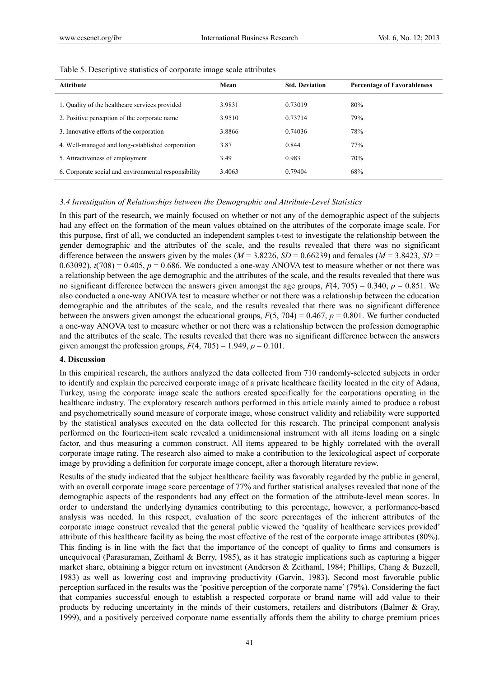| <b>Attribute</b>                                     | Mean   | <b>Std. Deviation</b> | <b>Percentage of Favorableness</b> |  |
|------------------------------------------------------|--------|-----------------------|------------------------------------|--|
| 1. Quality of the healthcare services provided       | 3.9831 | 0.73019               | 80%                                |  |
| 2. Positive perception of the corporate name         | 3.9510 | 0.73714               | 79%                                |  |
| 3. Innovative efforts of the corporation             | 3.8866 | 0.74036               | 78%                                |  |
| 4. Well-managed and long-established corporation     | 3.87   | 0.844                 | 77%                                |  |
| 5. Attractiveness of employment                      | 3.49   | 0.983                 | 70%                                |  |
| 6. Corporate social and environmental responsibility | 3.4063 | 0.79404               | 68%                                |  |

|  |  | Table 5. Descriptive statistics of corporate image scale attributes |
|--|--|---------------------------------------------------------------------|
|  |  |                                                                     |

#### *3.4 Investigation of Relationships between the Demographic and Attribute-Level Statistics*

In this part of the research, we mainly focused on whether or not any of the demographic aspect of the subjects had any effect on the formation of the mean values obtained on the attributes of the corporate image scale. For this purpose, first of all, we conducted an independent samples t-test to investigate the relationship between the gender demographic and the attributes of the scale, and the results revealed that there was no significant difference between the answers given by the males ( $M = 3.8226$ ,  $SD = 0.66239$ ) and females ( $M = 3.8423$ ,  $SD =$ 0.63092),  $t(708) = 0.405$ ,  $p = 0.686$ . We conducted a one-way ANOVA test to measure whether or not there was a relationship between the age demographic and the attributes of the scale, and the results revealed that there was no significant difference between the answers given amongst the age groups,  $F(4, 705) = 0.340$ ,  $p = 0.851$ . We also conducted a one-way ANOVA test to measure whether or not there was a relationship between the education demographic and the attributes of the scale, and the results revealed that there was no significant difference between the answers given amongst the educational groups, *F*(5, 704) = 0.467, *p* = 0.801. We further conducted a one-way ANOVA test to measure whether or not there was a relationship between the profession demographic and the attributes of the scale. The results revealed that there was no significant difference between the answers given amongst the profession groups,  $F(4, 705) = 1.949$ ,  $p = 0.101$ .

#### **4. Discussion**

In this empirical research, the authors analyzed the data collected from 710 randomly-selected subjects in order to identify and explain the perceived corporate image of a private healthcare facility located in the city of Adana, Turkey, using the corporate image scale the authors created specifically for the corporations operating in the healthcare industry. The exploratory research authors performed in this article mainly aimed to produce a robust and psychometrically sound measure of corporate image, whose construct validity and reliability were supported by the statistical analyses executed on the data collected for this research. The principal component analysis performed on the fourteen-item scale revealed a unidimensional instrument with all items loading on a single factor, and thus measuring a common construct. All items appeared to be highly correlated with the overall corporate image rating. The research also aimed to make a contribution to the lexicological aspect of corporate image by providing a definition for corporate image concept, after a thorough literature review.

Results of the study indicated that the subject healthcare facility was favorably regarded by the public in general, with an overall corporate image score percentage of 77% and further statistical analyses revealed that none of the demographic aspects of the respondents had any effect on the formation of the attribute-level mean scores. In order to understand the underlying dynamics contributing to this percentage, however, a performance-based analysis was needed. In this respect, evaluation of the score percentages of the inherent attributes of the corporate image construct revealed that the general public viewed the 'quality of healthcare services provided' attribute of this healthcare facility as being the most effective of the rest of the corporate image attributes (80%). This finding is in line with the fact that the importance of the concept of quality to firms and consumers is unequivocal (Parasuraman, Zeithaml & Berry, 1985), as it has strategic implications such as capturing a bigger market share, obtaining a bigger return on investment (Anderson & Zeithaml, 1984; Phillips, Chang & Buzzell, 1983) as well as lowering cost and improving productivity (Garvin, 1983). Second most favorable public perception surfaced in the results was the 'positive perception of the corporate name' (79%). Considering the fact that companies successful enough to establish a respected corporate or brand name will add value to their products by reducing uncertainty in the minds of their customers, retailers and distributors (Balmer & Gray, 1999), and a positively perceived corporate name essentially affords them the ability to charge premium prices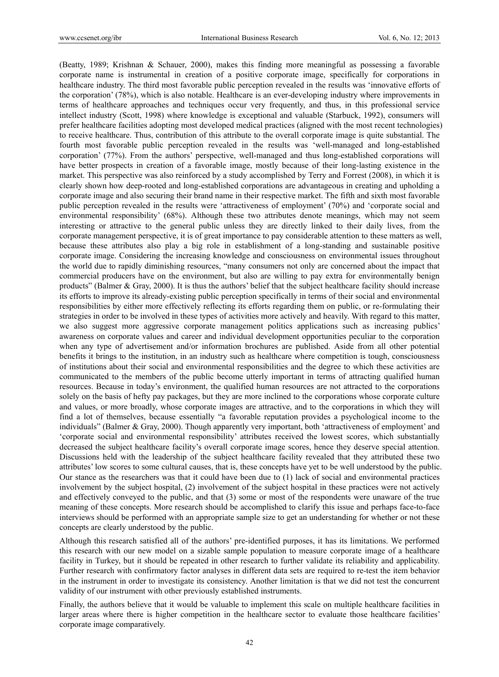(Beatty, 1989; Krishnan & Schauer, 2000), makes this finding more meaningful as possessing a favorable corporate name is instrumental in creation of a positive corporate image, specifically for corporations in healthcare industry. The third most favorable public perception revealed in the results was 'innovative efforts of the corporation' (78%), which is also notable. Healthcare is an ever-developing industry where improvements in terms of healthcare approaches and techniques occur very frequently, and thus, in this professional service intellect industry (Scott, 1998) where knowledge is exceptional and valuable (Starbuck, 1992), consumers will prefer healthcare facilities adopting most developed medical practices (aligned with the most recent technologies) to receive healthcare. Thus, contribution of this attribute to the overall corporate image is quite substantial. The fourth most favorable public perception revealed in the results was 'well-managed and long-established corporation' (77%). From the authors' perspective, well-managed and thus long-established corporations will have better prospects in creation of a favorable image, mostly because of their long-lasting existence in the market. This perspective was also reinforced by a study accomplished by Terry and Forrest (2008), in which it is clearly shown how deep-rooted and long-established corporations are advantageous in creating and upholding a corporate image and also securing their brand name in their respective market. The fifth and sixth most favorable public perception revealed in the results were 'attractiveness of employment' (70%) and 'corporate social and environmental responsibility' (68%). Although these two attributes denote meanings, which may not seem interesting or attractive to the general public unless they are directly linked to their daily lives, from the corporate management perspective, it is of great importance to pay considerable attention to these matters as well, because these attributes also play a big role in establishment of a long-standing and sustainable positive corporate image. Considering the increasing knowledge and consciousness on environmental issues throughout the world due to rapidly diminishing resources, "many consumers not only are concerned about the impact that commercial producers have on the environment, but also are willing to pay extra for environmentally benign products" (Balmer & Gray, 2000). It is thus the authors' belief that the subject healthcare facility should increase its efforts to improve its already-existing public perception specifically in terms of their social and environmental responsibilities by either more effectively reflecting its efforts regarding them on public, or re-formulating their strategies in order to be involved in these types of activities more actively and heavily. With regard to this matter, we also suggest more aggressive corporate management politics applications such as increasing publics' awareness on corporate values and career and individual development opportunities peculiar to the corporation when any type of advertisement and/or information brochures are published. Aside from all other potential benefits it brings to the institution, in an industry such as healthcare where competition is tough, consciousness of institutions about their social and environmental responsibilities and the degree to which these activities are communicated to the members of the public become utterly important in terms of attracting qualified human resources. Because in today's environment, the qualified human resources are not attracted to the corporations solely on the basis of hefty pay packages, but they are more inclined to the corporations whose corporate culture and values, or more broadly, whose corporate images are attractive, and to the corporations in which they will find a lot of themselves, because essentially "a favorable reputation provides a psychological income to the individuals" (Balmer & Gray, 2000). Though apparently very important, both 'attractiveness of employment' and 'corporate social and environmental responsibility' attributes received the lowest scores, which substantially decreased the subject healthcare facility's overall corporate image scores, hence they deserve special attention. Discussions held with the leadership of the subject healthcare facility revealed that they attributed these two attributes' low scores to some cultural causes, that is, these concepts have yet to be well understood by the public. Our stance as the researchers was that it could have been due to (1) lack of social and environmental practices involvement by the subject hospital, (2) involvement of the subject hospital in these practices were not actively and effectively conveyed to the public, and that (3) some or most of the respondents were unaware of the true meaning of these concepts. More research should be accomplished to clarify this issue and perhaps face-to-face interviews should be performed with an appropriate sample size to get an understanding for whether or not these concepts are clearly understood by the public.

Although this research satisfied all of the authors' pre-identified purposes, it has its limitations. We performed this research with our new model on a sizable sample population to measure corporate image of a healthcare facility in Turkey, but it should be repeated in other research to further validate its reliability and applicability. Further research with confirmatory factor analyses in different data sets are required to re-test the item behavior in the instrument in order to investigate its consistency. Another limitation is that we did not test the concurrent validity of our instrument with other previously established instruments.

Finally, the authors believe that it would be valuable to implement this scale on multiple healthcare facilities in larger areas where there is higher competition in the healthcare sector to evaluate those healthcare facilities' corporate image comparatively.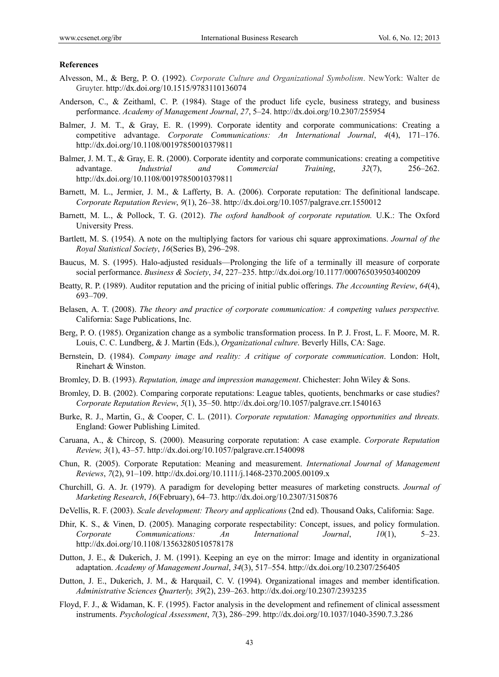#### **References**

- Alvesson, M., & Berg, P. O. (1992). *Corporate Culture and Organizational Symbolism*. NewYork: Walter de Gruyter. http://dx.doi.org/10.1515/9783110136074
- Anderson, C., & Zeithaml, C. P. (1984). Stage of the product life cycle, business strategy, and business performance. *Academy of Management Journal*, *27*, 5–24. http://dx.doi.org/10.2307/255954
- Balmer, J. M. T., & Gray, E. R. (1999). Corporate identity and corporate communications: Creating a competitive advantage. *Corporate Communications: An International Journal*, *4*(4), 171–176. http://dx.doi.org/10.1108/00197850010379811
- Balmer, J. M. T., & Gray, E. R. (2000). Corporate identity and corporate communications: creating a competitive advantage. *Industrial and Commercial Training*, *32*(7), 256–262. http://dx.doi.org/10.1108/00197850010379811
- Barnett, M. L., Jermier, J. M., & Lafferty, B. A. (2006). Corporate reputation: The definitional landscape. *Corporate Reputation Review*, *9*(1), 26–38. http://dx.doi.org/10.1057/palgrave.crr.1550012
- Barnett, M. L., & Pollock, T. G. (2012). *The oxford handbook of corporate reputation.* U.K.: The Oxford University Press.
- Bartlett, M. S. (1954). A note on the multiplying factors for various chi square approximations. *Journal of the Royal Statistical Society*, *16*(Series B), 296–298.
- Baucus, M. S. (1995). Halo-adjusted residuals—Prolonging the life of a terminally ill measure of corporate social performance. *Business & Society*, *34*, 227–235. http://dx.doi.org/10.1177/000765039503400209
- Beatty, R. P. (1989). Auditor reputation and the pricing of initial public offerings. *The Accounting Review*, *64*(4), 693–709.
- Belasen, A. T. (2008). *The theory and practice of corporate communication: A competing values perspective.* California: Sage Publications, Inc.
- Berg, P. O. (1985). Organization change as a symbolic transformation process. In P. J. Frost, L. F. Moore, M. R. Louis, C. C. Lundberg, & J. Martin (Eds.), *Organizational culture*. Beverly Hills, CA: Sage.
- Bernstein, D. (1984). *Company image and reality: A critique of corporate communication*. London: Holt, Rinehart & Winston.
- Bromley, D. B. (1993). *Reputation, image and impression management*. Chichester: John Wiley & Sons.
- Bromley, D. B. (2002). Comparing corporate reputations: League tables, quotients, benchmarks or case studies? *Corporate Reputation Review*, *5*(1), 35–50. http://dx.doi.org/10.1057/palgrave.crr.1540163
- Burke, R. J., Martin, G., & Cooper, C. L. (2011). *Corporate reputation: Managing opportunities and threats.* England: Gower Publishing Limited.
- Caruana, A., & Chircop, S. (2000). Measuring corporate reputation: A case example. *Corporate Reputation Review, 3*(1), 43–57. http://dx.doi.org/10.1057/palgrave.crr.1540098
- Chun, R. (2005). Corporate Reputation: Meaning and measurement. *International Journal of Management Reviews*, *7*(2), 91–109. http://dx.doi.org/10.1111/j.1468-2370.2005.00109.x
- Churchill, G. A. Jr. (1979). A paradigm for developing better measures of marketing constructs. *Journal of Marketing Research*, *16*(February), 64–73. http://dx.doi.org/10.2307/3150876
- DeVellis, R. F. (2003). *Scale development: Theory and applications* (2nd ed). Thousand Oaks, California: Sage.
- Dhir, K. S., & Vinen, D. (2005). Managing corporate respectability: Concept, issues, and policy formulation. *Corporate Communications: An International Journal*, *10*(1), 5–23. http://dx.doi.org/10.1108/13563280510578178
- Dutton, J. E., & Dukerich, J. M. (1991). Keeping an eye on the mirror: Image and identity in organizational adaptation. *Academy of Management Journal*, *34*(3), 517–554. http://dx.doi.org/10.2307/256405
- Dutton, J. E., Dukerich, J. M., & Harquail, C. V. (1994). Organizational images and member identification. *Administrative Sciences Quarterly, 39*(2), 239–263. http://dx.doi.org/10.2307/2393235
- Floyd, F. J., & Widaman, K. F. (1995). Factor analysis in the development and refinement of clinical assessment instruments. *Psychological Assessment*, *7*(3), 286–299. http://dx.doi.org/10.1037/1040-3590.7.3.286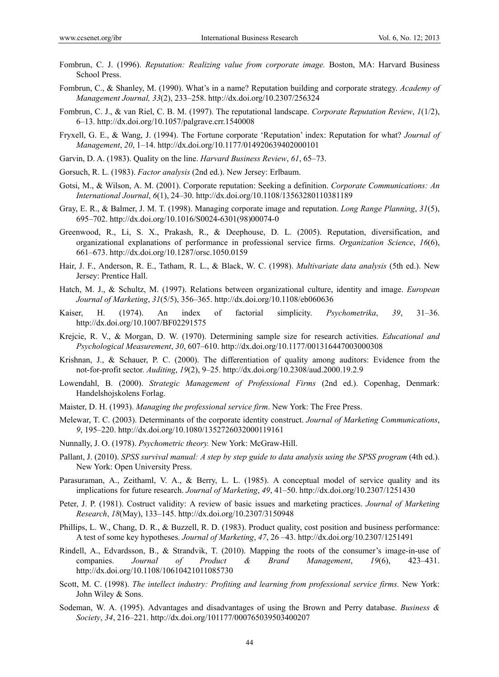- Fombrun, C. J. (1996). *Reputation: Realizing value from corporate image.* Boston, MA: Harvard Business School Press.
- Fombrun, C., & Shanley, M. (1990). What's in a name? Reputation building and corporate strategy. *Academy of Management Journal, 33*(2), 233–258. http://dx.doi.org/10.2307/256324
- Fombrun, C. J., & van Riel, C. B. M. (1997). The reputational landscape. *Corporate Reputation Review*, *1*(1/2), 6–13. http://dx.doi.org/10.1057/palgrave.crr.1540008
- Fryxell, G. E., & Wang, J. (1994). The Fortune corporate 'Reputation' index: Reputation for what? *Journal of Management*, *20*, 1–14. http://dx.doi.org/10.1177/014920639402000101
- Garvin, D. A. (1983). Quality on the line. *Harvard Business Review*, *61*, 65–73.
- Gorsuch, R. L. (1983). *Factor analysis* (2nd ed.). New Jersey: Erlbaum.
- Gotsi, M., & Wilson, A. M. (2001). Corporate reputation: Seeking a definition. *Corporate Communications: An International Journal*, *6*(1), 24–30. http://dx.doi.org/10.1108/13563280110381189
- Gray, E. R., & Balmer, J. M. T. (1998). Managing corporate image and reputation. *Long Range Planning*, *31*(5), 695–702. http://dx.doi.org/10.1016/S0024-6301(98)00074-0
- Greenwood, R., Li, S. X., Prakash, R., & Deephouse, D. L. (2005). Reputation, diversification, and organizational explanations of performance in professional service firms. *Organization Science*, *16*(6), 661–673. http://dx.doi.org/10.1287/orsc.1050.0159
- Hair, J. F., Anderson, R. E., Tatham, R. L., & Black, W. C. (1998). *Multivariate data analysis* (5th ed.). New Jersey: Prentice Hall.
- Hatch, M. J., & Schultz, M. (1997). Relations between organizational culture, identity and image. *European Journal of Marketing*, *31*(5/5), 356–365. http://dx.doi.org/10.1108/eb060636
- Kaiser, H. (1974). An index of factorial simplicity. *Psychometrika*, *39*, 31–36. http://dx.doi.org/10.1007/BF02291575
- Krejcie, R. V., & Morgan, D. W. (1970). Determining sample size for research activities. *Educational and Psychological Measurement*, *30*, 607–610. http://dx.doi.org/10.1177/001316447003000308
- Krishnan, J., & Schauer, P. C. (2000). The differentiation of quality among auditors: Evidence from the not-for-profit sector. *Auditing*, *19*(2), 9–25. http://dx.doi.org/10.2308/aud.2000.19.2.9
- Lowendahl, B. (2000). *Strategic Management of Professional Firms* (2nd ed.). Copenhag, Denmark: Handelshojskolens Forlag.
- Maister, D. H. (1993). *Managing the professional service firm*. New York: The Free Press.
- Melewar, T. C. (2003). Determinants of the corporate identity construct. *Journal of Marketing Communications*, *9*, 195–220. http://dx.doi.org/10.1080/1352726032000119161
- Nunnally, J. O. (1978). *Psychometric theory.* New York: McGraw-Hill.
- Pallant, J. (2010). *SPSS survival manual: A step by step guide to data analysis using the SPSS program* (4th ed.). New York: Open University Press.
- Parasuraman, A., Zeithaml, V. A., & Berry, L. L. (1985). A conceptual model of service quality and its implications for future research. *Journal of Marketing*, *49*, 41–50. http://dx.doi.org/10.2307/1251430
- Peter, J. P. (1981). Costruct validity: A review of basic issues and marketing practices. *Journal of Marketing Research*, *18*(May), 133–145. http://dx.doi.org/10.2307/3150948
- Phillips, L. W., Chang, D. R., & Buzzell, R. D. (1983). Product quality, cost position and business performance: A test of some key hypotheses. *Journal of Marketing*, *47*, 26 –43. http://dx.doi.org/10.2307/1251491
- Rindell, A., Edvardsson, B., & Strandvik, T. (2010). Mapping the roots of the consumer's image-in-use of companies. *Journal of Product & Brand Management*, *19*(6), 423–431. http://dx.doi.org/10.1108/10610421011085730
- Scott, M. C. (1998). *The intellect industry: Profiting and learning from professional service firms.* New York: John Wiley & Sons.
- Sodeman, W. A. (1995). Advantages and disadvantages of using the Brown and Perry database. *Business & Society*, *34*, 216–221. http://dx.doi.org/101177/000765039503400207